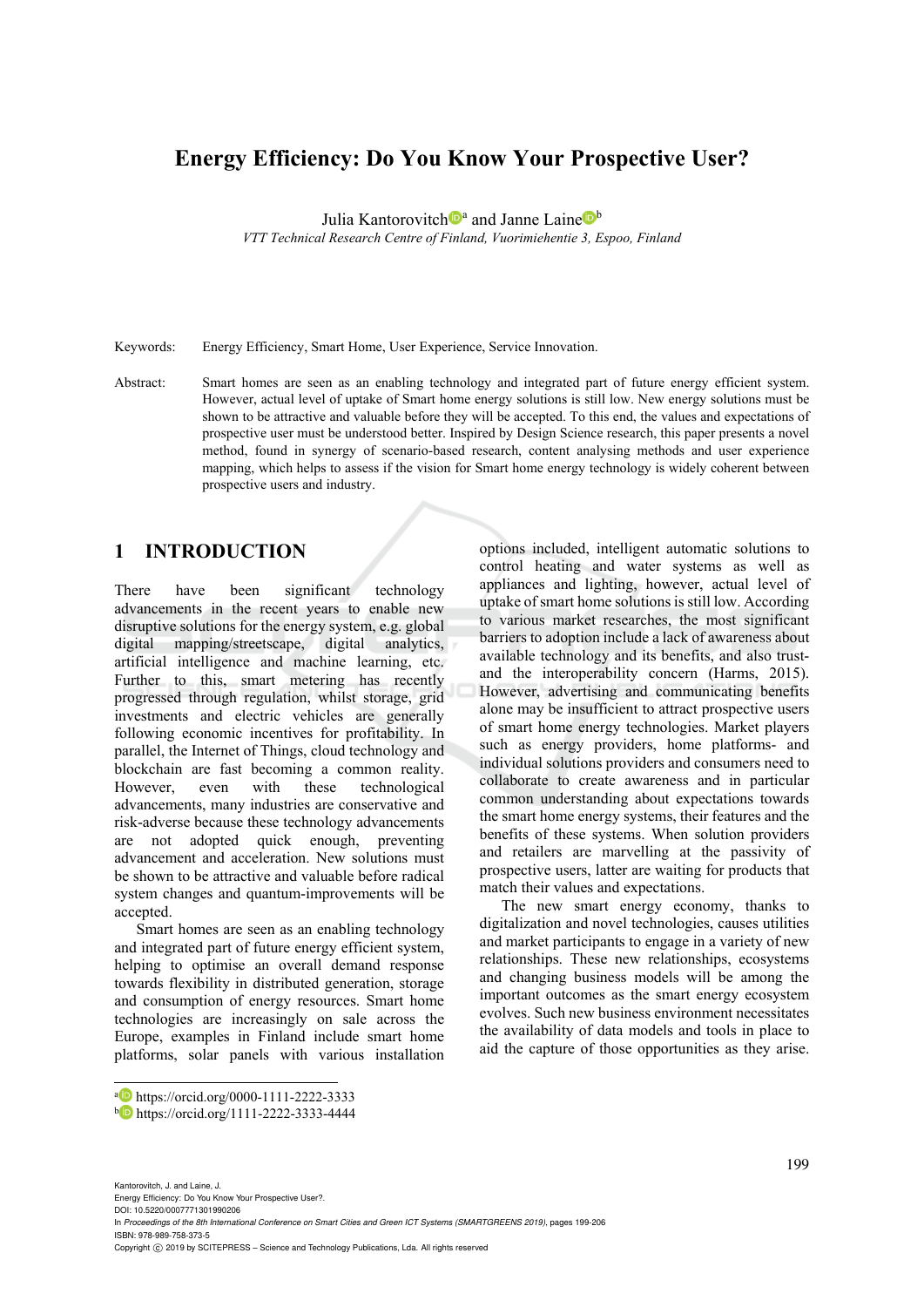# **Energy Efficiency: Do You Know Your Prospective User?**

Julia Kantorovitch<sup>o</sup><sup>a</sup> and Janne Laine<sup>b</sup>

*VTT Technical Research Centre of Finland, Vuorimiehentie 3, Espoo, Finland* 

Keywords: Energy Efficiency, Smart Home, User Experience, Service Innovation.

Abstract: Smart homes are seen as an enabling technology and integrated part of future energy efficient system. However, actual level of uptake of Smart home energy solutions is still low. New energy solutions must be shown to be attractive and valuable before they will be accepted. To this end, the values and expectations of prospective user must be understood better. Inspired by Design Science research, this paper presents a novel method, found in synergy of scenario-based research, content analysing methods and user experience mapping, which helps to assess if the vision for Smart home energy technology is widely coherent between prospective users and industry.

## **1 INTRODUCTION**

There have been significant technology advancements in the recent years to enable new disruptive solutions for the energy system, e.g. global digital mapping/streetscape, digital analytics, artificial intelligence and machine learning, etc. Further to this, smart metering has recently progressed through regulation, whilst storage, grid investments and electric vehicles are generally following economic incentives for profitability. In parallel, the Internet of Things, cloud technology and blockchain are fast becoming a common reality. However, even with these technological advancements, many industries are conservative and risk-adverse because these technology advancements are not adopted quick enough, preventing advancement and acceleration. New solutions must be shown to be attractive and valuable before radical system changes and quantum-improvements will be accepted.

Smart homes are seen as an enabling technology and integrated part of future energy efficient system, helping to optimise an overall demand response towards flexibility in distributed generation, storage and consumption of energy resources. Smart home technologies are increasingly on sale across the Europe, examples in Finland include smart home platforms, solar panels with various installation

options included, intelligent automatic solutions to control heating and water systems as well as appliances and lighting, however, actual level of uptake of smart home solutions is still low. According to various market researches, the most significant barriers to adoption include a lack of awareness about available technology and its benefits, and also trustand the interoperability concern (Harms, 2015). However, advertising and communicating benefits alone may be insufficient to attract prospective users of smart home energy technologies. Market players such as energy providers, home platforms- and individual solutions providers and consumers need to collaborate to create awareness and in particular common understanding about expectations towards the smart home energy systems, their features and the benefits of these systems. When solution providers and retailers are marvelling at the passivity of prospective users, latter are waiting for products that match their values and expectations.

The new smart energy economy, thanks to digitalization and novel technologies, causes utilities and market participants to engage in a variety of new relationships. These new relationships, ecosystems and changing business models will be among the important outcomes as the smart energy ecosystem evolves. Such new business environment necessitates the availability of data models and tools in place to aid the capture of those opportunities as they arise.

 $\overline{a}$ 

Kantorovitch, J. and Laine, J. Energy Efficiency: Do You Know Your Prospective User?. DOI: 10.5220/0007771301990206

In *Proceedings of the 8th International Conference on Smart Cities and Green ICT Systems (SMARTGREENS 2019)*, pages 199-206 ISBN: 978-989-758-373-5

Copyright C 2019 by SCITEPRESS - Science and Technology Publications, Lda. All rights reserved

a https://orcid.org/0000-1111-2222-3333<br>b https://orcid.org/1111-2222-3333-4444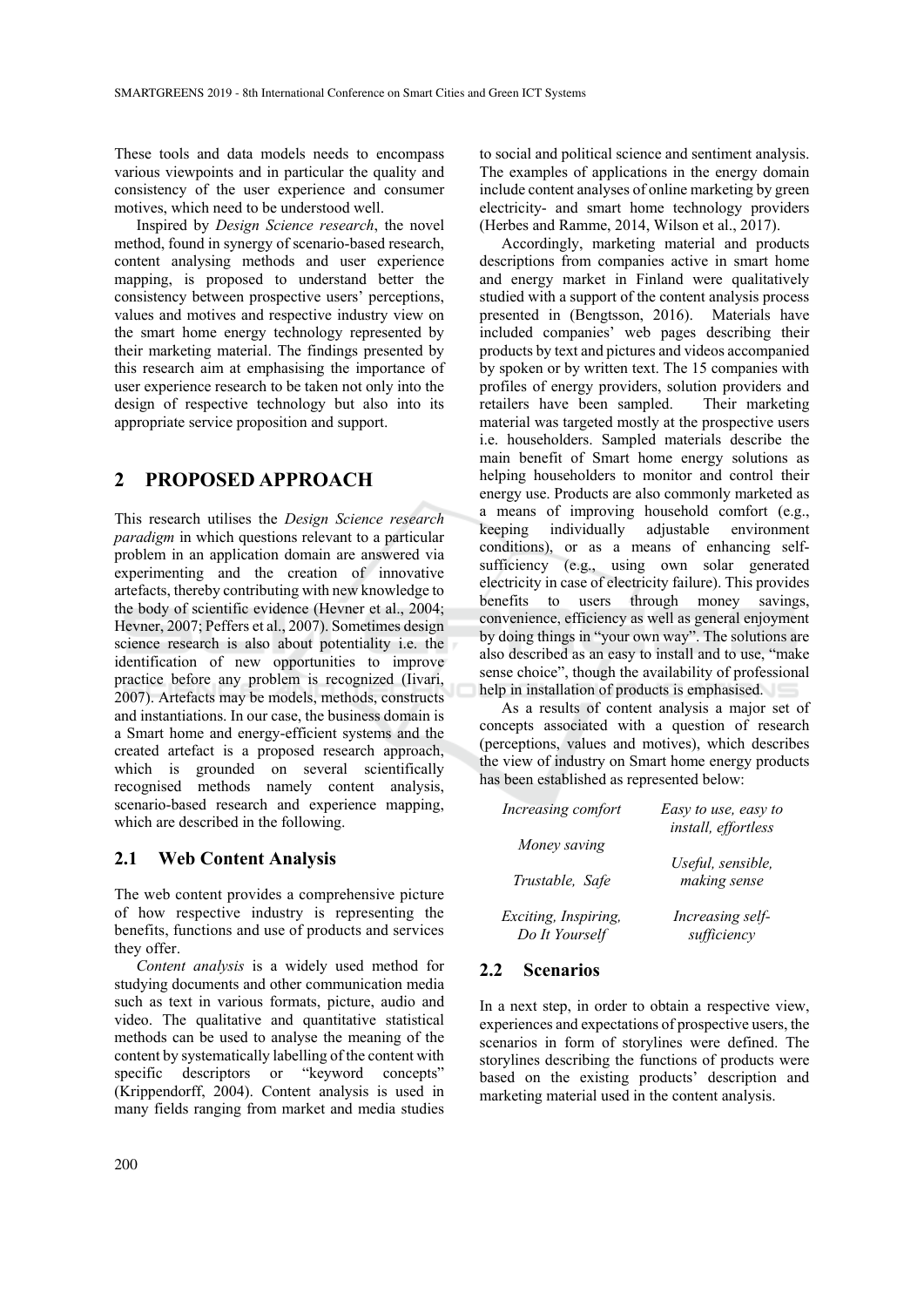These tools and data models needs to encompass various viewpoints and in particular the quality and consistency of the user experience and consumer motives, which need to be understood well.

Inspired by *Design Science research*, the novel method, found in synergy of scenario-based research, content analysing methods and user experience mapping, is proposed to understand better the consistency between prospective users' perceptions, values and motives and respective industry view on the smart home energy technology represented by their marketing material. The findings presented by this research aim at emphasising the importance of user experience research to be taken not only into the design of respective technology but also into its appropriate service proposition and support.

## **2 PROPOSED APPROACH**

This research utilises the *Design Science research paradigm* in which questions relevant to a particular problem in an application domain are answered via experimenting and the creation of innovative artefacts, thereby contributing with new knowledge to the body of scientific evidence (Hevner et al., 2004; Hevner, 2007; Peffers et al., 2007). Sometimes design science research is also about potentiality i.e. the identification of new opportunities to improve practice before any problem is recognized (Iivari, 2007). Artefacts may be models, methods, constructs and instantiations. In our case, the business domain is a Smart home and energy-efficient systems and the created artefact is a proposed research approach, which is grounded on several scientifically recognised methods namely content analysis, scenario-based research and experience mapping, which are described in the following.

## **2.1 Web Content Analysis**

The web content provides a comprehensive picture of how respective industry is representing the benefits, functions and use of products and services they offer.

*Content analysis* is a widely used method for studying documents and other communication media such as text in various formats, picture, audio and video. The qualitative and quantitative statistical methods can be used to analyse the meaning of the content by systematically labelling of the content with specific descriptors or "keyword concepts" (Krippendorff, 2004). Content analysis is used in many fields ranging from market and media studies

to social and political science and sentiment analysis. The examples of applications in the energy domain include content analyses of online marketing by green electricity- and smart home technology providers (Herbes and Ramme, 2014, Wilson et al., 2017).

Accordingly, marketing material and products descriptions from companies active in smart home and energy market in Finland were qualitatively studied with a support of the content analysis process presented in (Bengtsson, 2016). Materials have included companies' web pages describing their products by text and pictures and videos accompanied by spoken or by written text. The 15 companies with profiles of energy providers, solution providers and retailers have been sampled. Their marketing material was targeted mostly at the prospective users i.e. householders. Sampled materials describe the main benefit of Smart home energy solutions as helping householders to monitor and control their energy use. Products are also commonly marketed as a means of improving household comfort (e.g., keeping individually adjustable environment conditions), or as a means of enhancing selfsufficiency (e.g., using own solar generated electricity in case of electricity failure). This provides benefits to users through money savings, convenience, efficiency as well as general enjoyment by doing things in "your own way". The solutions are also described as an easy to install and to use, "make sense choice", though the availability of professional help in installation of products is emphasised.

As a results of content analysis a major set of concepts associated with a question of research (perceptions, values and motives), which describes the view of industry on Smart home energy products has been established as represented below:

| Increasing comfort   | Easy to use, easy to<br>install, effortless |
|----------------------|---------------------------------------------|
| Money saving         |                                             |
|                      | Useful, sensible,                           |
| Trustable, Safe      | making sense                                |
| Exciting, Inspiring, | Increasing self-                            |
| Do It Yourself       | sufficiency                                 |

#### **2.2 Scenarios**

In a next step, in order to obtain a respective view, experiences and expectations of prospective users, the scenarios in form of storylines were defined. The storylines describing the functions of products were based on the existing products' description and marketing material used in the content analysis.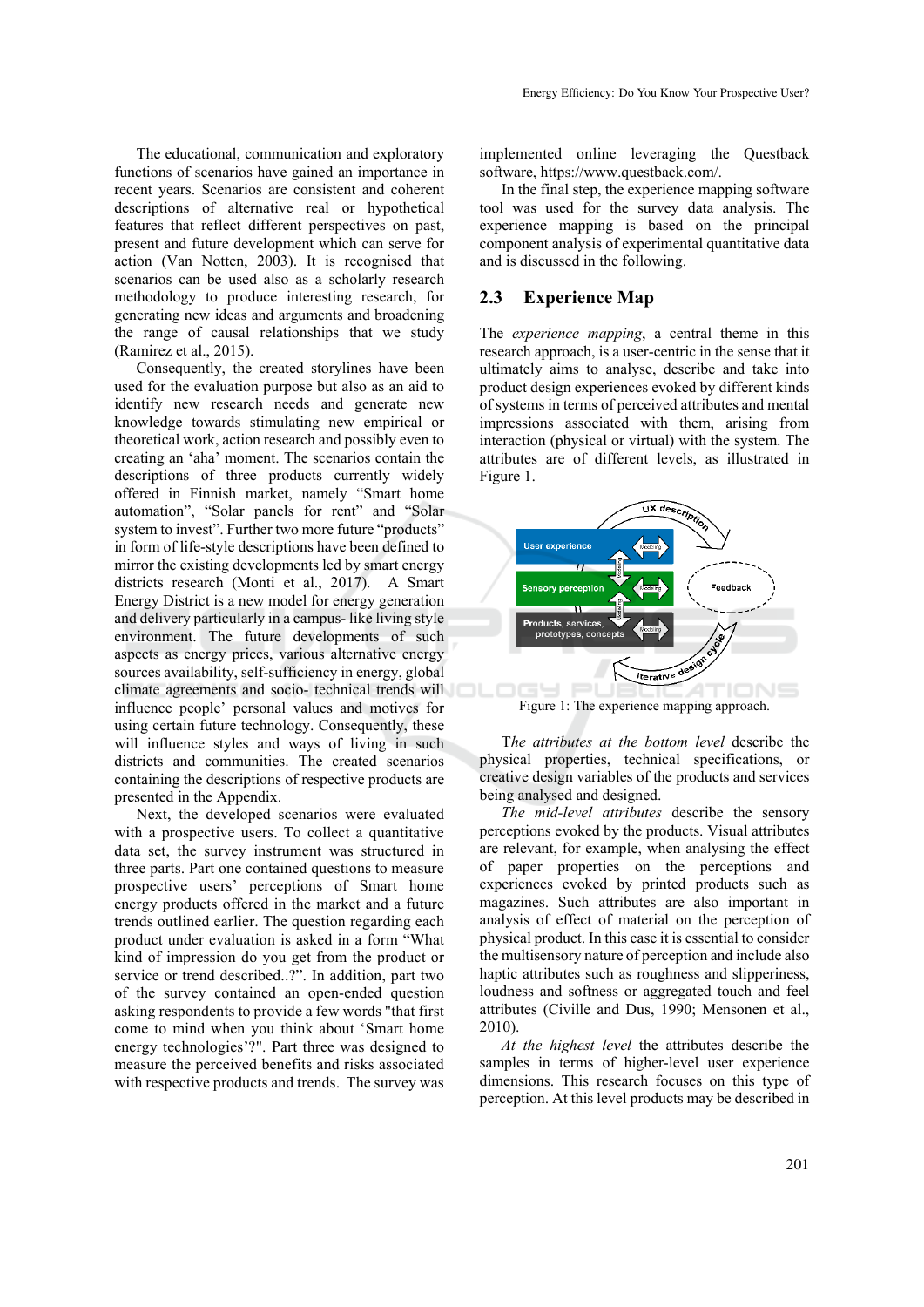The educational, communication and exploratory functions of scenarios have gained an importance in recent years. Scenarios are consistent and coherent descriptions of alternative real or hypothetical features that reflect different perspectives on past, present and future development which can serve for action (Van Notten, 2003). It is recognised that scenarios can be used also as a scholarly research methodology to produce interesting research, for generating new ideas and arguments and broadening the range of causal relationships that we study

(Ramirez et al., 2015). Consequently, the created storylines have been used for the evaluation purpose but also as an aid to identify new research needs and generate new knowledge towards stimulating new empirical or theoretical work, action research and possibly even to creating an 'aha' moment. The scenarios contain the descriptions of three products currently widely offered in Finnish market, namely "Smart home automation", "Solar panels for rent" and "Solar system to invest". Further two more future "products" in form of life-style descriptions have been defined to mirror the existing developments led by smart energy districts research (Monti et al., 2017). A Smart Energy District is a new model for energy generation and delivery particularly in a campus- like living style environment. The future developments of such aspects as energy prices, various alternative energy sources availability, self-sufficiency in energy, global climate agreements and socio- technical trends will influence people' personal values and motives for using certain future technology. Consequently, these will influence styles and ways of living in such districts and communities. The created scenarios containing the descriptions of respective products are presented in the Appendix.

Next, the developed scenarios were evaluated with a prospective users. To collect a quantitative data set, the survey instrument was structured in three parts. Part one contained questions to measure prospective users' perceptions of Smart home energy products offered in the market and a future trends outlined earlier. The question regarding each product under evaluation is asked in a form "What kind of impression do you get from the product or service or trend described..?". In addition, part two of the survey contained an open-ended question asking respondents to provide a few words "that first come to mind when you think about 'Smart home energy technologies'?". Part three was designed to measure the perceived benefits and risks associated with respective products and trends. The survey was

implemented online leveraging the Questback software, https://www.questback.com/.

In the final step, the experience mapping software tool was used for the survey data analysis. The experience mapping is based on the principal component analysis of experimental quantitative data and is discussed in the following.

#### **2.3 Experience Map**

The *experience mapping*, a central theme in this research approach, is a user-centric in the sense that it ultimately aims to analyse, describe and take into product design experiences evoked by different kinds of systems in terms of perceived attributes and mental impressions associated with them, arising from interaction (physical or virtual) with the system. The attributes are of different levels, as illustrated in Figure 1.



Figure 1: The experience mapping approach.

T*he attributes at the bottom level* describe the physical properties, technical specifications, or creative design variables of the products and services being analysed and designed.

*The mid-level attributes* describe the sensory perceptions evoked by the products. Visual attributes are relevant, for example, when analysing the effect of paper properties on the perceptions and experiences evoked by printed products such as magazines. Such attributes are also important in analysis of effect of material on the perception of physical product. In this case it is essential to consider the multisensory nature of perception and include also haptic attributes such as roughness and slipperiness, loudness and softness or aggregated touch and feel attributes (Civille and Dus, 1990; Mensonen et al., 2010).

*At the highest level* the attributes describe the samples in terms of higher-level user experience dimensions. This research focuses on this type of perception. At this level products may be described in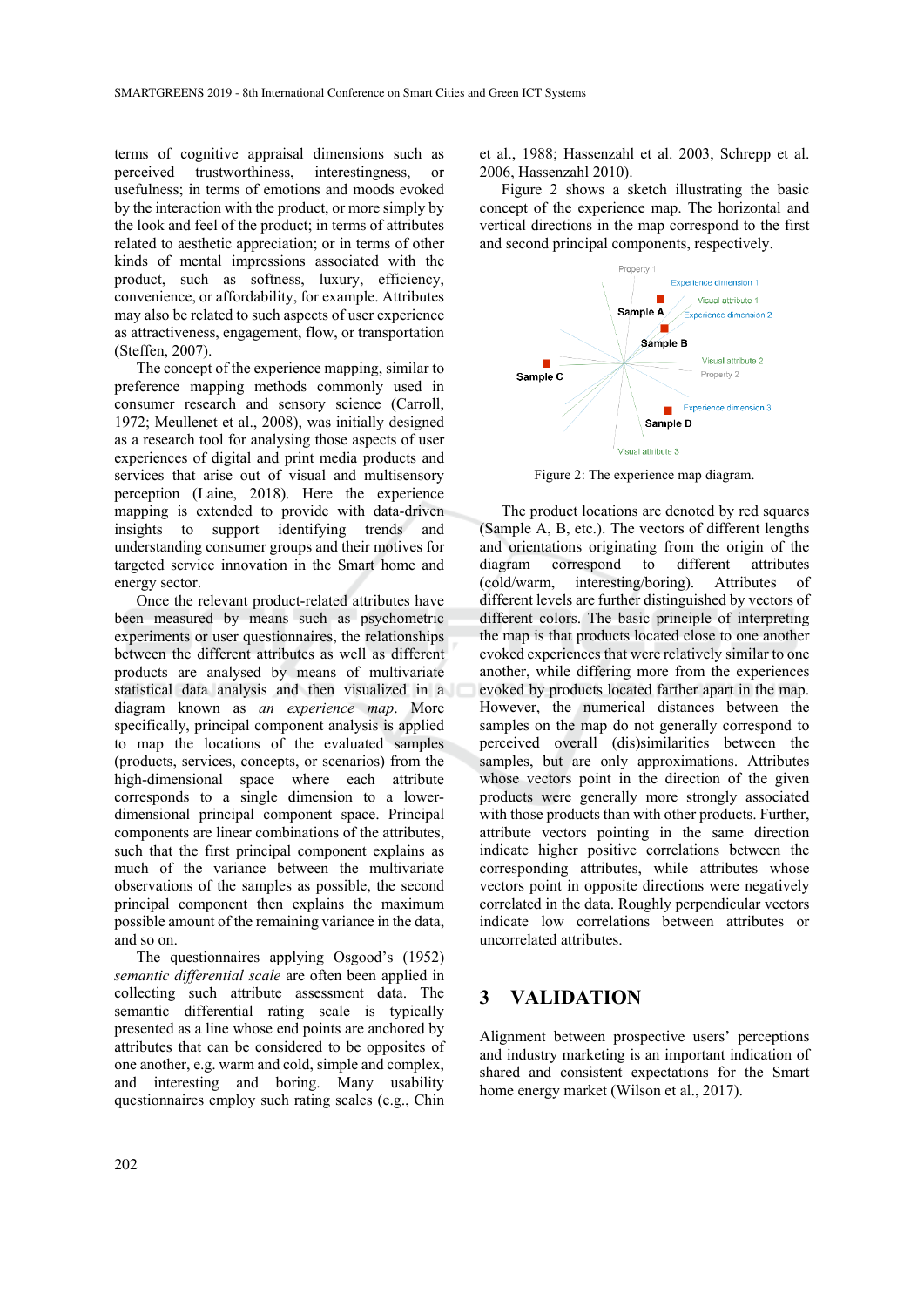terms of cognitive appraisal dimensions such as perceived trustworthiness, interestingness, or usefulness; in terms of emotions and moods evoked by the interaction with the product, or more simply by the look and feel of the product; in terms of attributes related to aesthetic appreciation; or in terms of other kinds of mental impressions associated with the product, such as softness, luxury, efficiency, convenience, or affordability, for example. Attributes may also be related to such aspects of user experience as attractiveness, engagement, flow, or transportation (Steffen, 2007).

The concept of the experience mapping, similar to preference mapping methods commonly used in consumer research and sensory science (Carroll, 1972; Meullenet et al., 2008), was initially designed as a research tool for analysing those aspects of user experiences of digital and print media products and services that arise out of visual and multisensory perception (Laine, 2018). Here the experience mapping is extended to provide with data-driven insights to support identifying trends and understanding consumer groups and their motives for targeted service innovation in the Smart home and energy sector.

Once the relevant product-related attributes have been measured by means such as psychometric experiments or user questionnaires, the relationships between the different attributes as well as different products are analysed by means of multivariate statistical data analysis and then visualized in a diagram known as *an experience map*. More specifically, principal component analysis is applied to map the locations of the evaluated samples (products, services, concepts, or scenarios) from the high-dimensional space where each attribute corresponds to a single dimension to a lowerdimensional principal component space. Principal components are linear combinations of the attributes, such that the first principal component explains as much of the variance between the multivariate observations of the samples as possible, the second principal component then explains the maximum possible amount of the remaining variance in the data, and so on.

The questionnaires applying Osgood's (1952) *semantic differential scale* are often been applied in collecting such attribute assessment data. The semantic differential rating scale is typically presented as a line whose end points are anchored by attributes that can be considered to be opposites of one another, e.g. warm and cold, simple and complex, and interesting and boring. Many usability questionnaires employ such rating scales (e.g., Chin

et al., 1988; Hassenzahl et al. 2003, Schrepp et al. 2006, Hassenzahl 2010).

Figure 2 shows a sketch illustrating the basic concept of the experience map. The horizontal and vertical directions in the map correspond to the first and second principal components, respectively.



Figure 2: The experience map diagram.

The product locations are denoted by red squares (Sample A, B, etc.). The vectors of different lengths and orientations originating from the origin of the diagram correspond to different attributes (cold/warm, interesting/boring). Attributes of different levels are further distinguished by vectors of different colors. The basic principle of interpreting the map is that products located close to one another evoked experiences that were relatively similar to one another, while differing more from the experiences evoked by products located farther apart in the map. However, the numerical distances between the samples on the map do not generally correspond to perceived overall (dis)similarities between the samples, but are only approximations. Attributes whose vectors point in the direction of the given products were generally more strongly associated with those products than with other products. Further, attribute vectors pointing in the same direction indicate higher positive correlations between the corresponding attributes, while attributes whose vectors point in opposite directions were negatively correlated in the data. Roughly perpendicular vectors indicate low correlations between attributes or uncorrelated attributes.

## **3 VALIDATION**

Alignment between prospective users' perceptions and industry marketing is an important indication of shared and consistent expectations for the Smart home energy market (Wilson et al., 2017).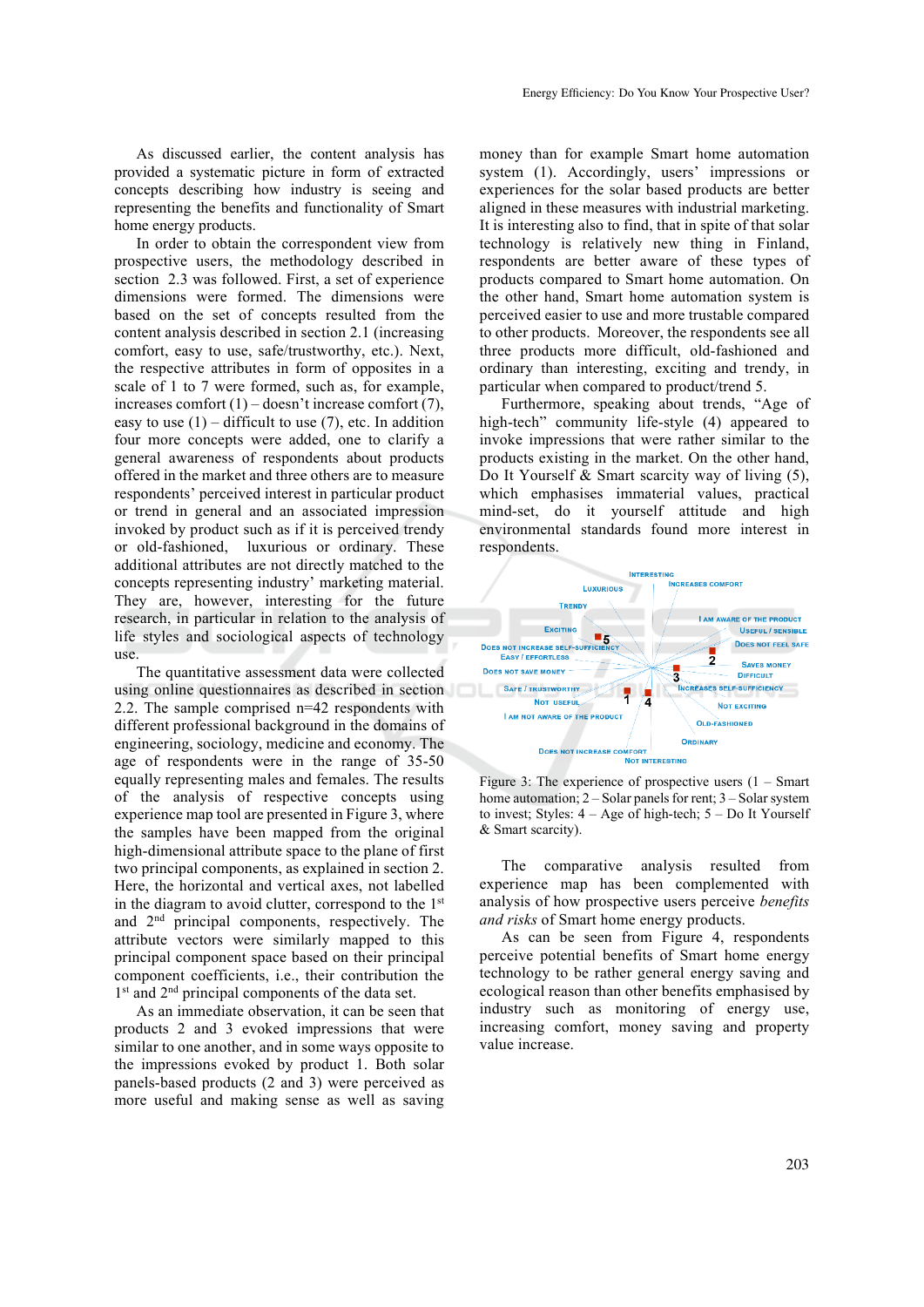As discussed earlier, the content analysis has provided a systematic picture in form of extracted concepts describing how industry is seeing and representing the benefits and functionality of Smart home energy products.

In order to obtain the correspondent view from prospective users, the methodology described in section 2.3 was followed. First, a set of experience dimensions were formed. The dimensions were based on the set of concepts resulted from the content analysis described in section 2.1 (increasing comfort, easy to use, safe/trustworthy, etc.). Next, the respective attributes in form of opposites in a scale of 1 to 7 were formed, such as, for example, increases comfort  $(1)$  – doesn't increase comfort  $(7)$ , easy to use  $(1)$  – difficult to use  $(7)$ , etc. In addition four more concepts were added, one to clarify a general awareness of respondents about products offered in the market and three others are to measure respondents' perceived interest in particular product or trend in general and an associated impression invoked by product such as if it is perceived trendy or old-fashioned, luxurious or ordinary. These additional attributes are not directly matched to the concepts representing industry' marketing material. They are, however, interesting for the future research, in particular in relation to the analysis of life styles and sociological aspects of technology use.

The quantitative assessment data were collected using online questionnaires as described in section 2.2. The sample comprised n=42 respondents with different professional background in the domains of engineering, sociology, medicine and economy. The age of respondents were in the range of 35-50 equally representing males and females. The results of the analysis of respective concepts using experience map tool are presented in Figure 3, where the samples have been mapped from the original high-dimensional attribute space to the plane of first two principal components, as explained in section 2. Here, the horizontal and vertical axes, not labelled in the diagram to avoid clutter, correspond to the 1st and 2nd principal components, respectively. The attribute vectors were similarly mapped to this principal component space based on their principal component coefficients, i.e., their contribution the 1<sup>st</sup> and 2<sup>nd</sup> principal components of the data set.

As an immediate observation, it can be seen that products 2 and 3 evoked impressions that were similar to one another, and in some ways opposite to the impressions evoked by product 1. Both solar panels-based products (2 and 3) were perceived as more useful and making sense as well as saving

money than for example Smart home automation system (1). Accordingly, users' impressions or experiences for the solar based products are better aligned in these measures with industrial marketing. It is interesting also to find, that in spite of that solar technology is relatively new thing in Finland, respondents are better aware of these types of products compared to Smart home automation. On the other hand, Smart home automation system is perceived easier to use and more trustable compared to other products. Moreover, the respondents see all three products more difficult, old-fashioned and ordinary than interesting, exciting and trendy, in particular when compared to product/trend 5.

Furthermore, speaking about trends, "Age of high-tech" community life-style (4) appeared to invoke impressions that were rather similar to the products existing in the market. On the other hand, Do It Yourself & Smart scarcity way of living (5), which emphasises immaterial values, practical mind-set, do it yourself attitude and high environmental standards found more interest in respondents.



Figure 3: The experience of prospective users  $(1 - 5m)$ home automation; 2 – Solar panels for rent; 3 – Solar system to invest; Styles:  $4 - Age$  of high-tech;  $5 - Do$  It Yourself & Smart scarcity).

The comparative analysis resulted from experience map has been complemented with analysis of how prospective users perceive *benefits and risks* of Smart home energy products.

As can be seen from Figure 4, respondents perceive potential benefits of Smart home energy technology to be rather general energy saving and ecological reason than other benefits emphasised by industry such as monitoring of energy use, increasing comfort, money saving and property value increase.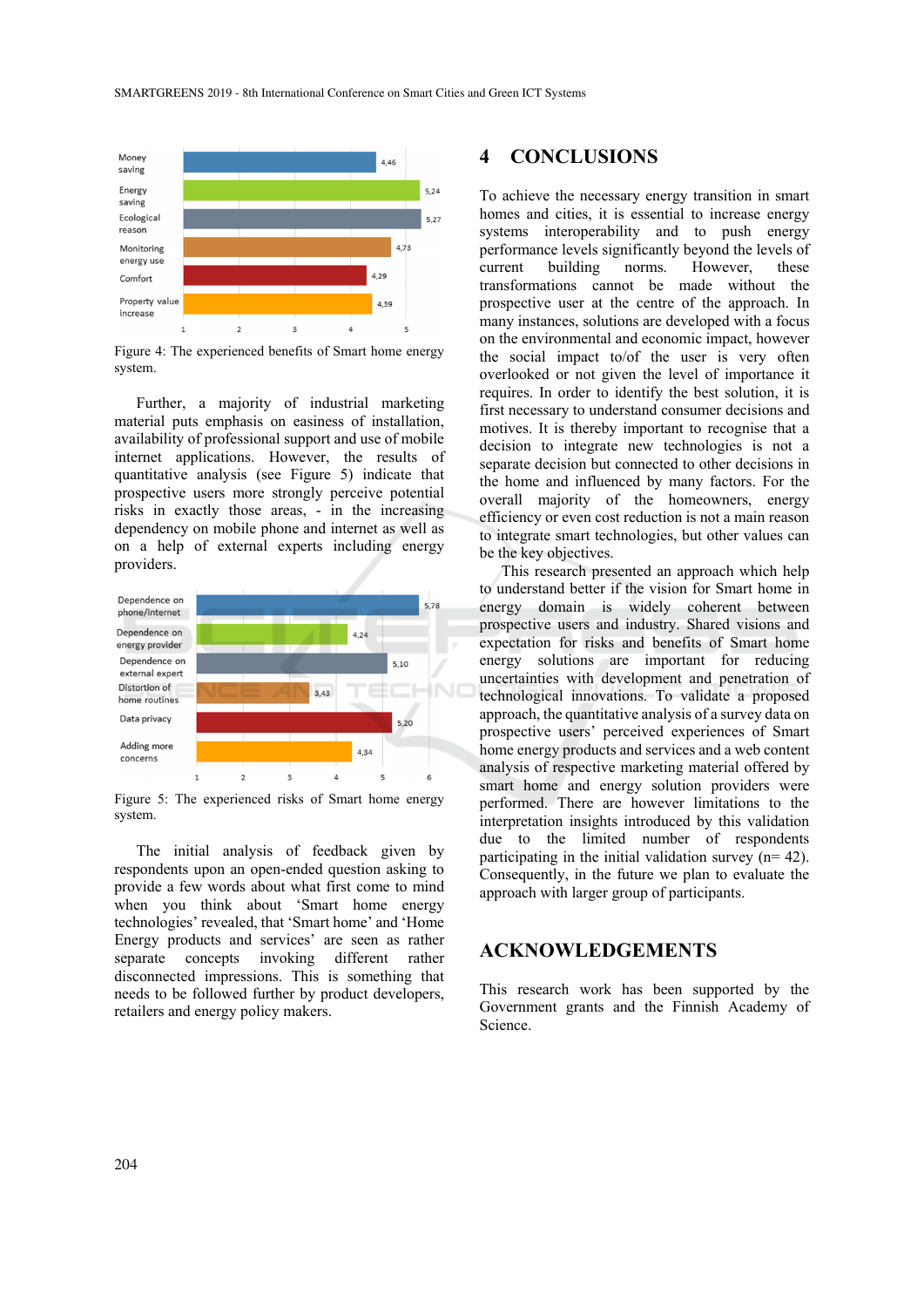

Figure 4: The experienced benefits of Smart home energy system.

Further, a majority of industrial marketing material puts emphasis on easiness of installation, availability of professional support and use of mobile internet applications. However, the results of quantitative analysis (see Figure 5) indicate that prospective users more strongly perceive potential risks in exactly those areas, - in the increasing dependency on mobile phone and internet as well as on a help of external experts including energy providers.



Figure 5: The experienced risks of Smart home energy system.

The initial analysis of feedback given by respondents upon an open-ended question asking to provide a few words about what first come to mind when you think about 'Smart home energy technologies' revealed, that 'Smart home' and 'Home Energy products and services' are seen as rather separate concepts invoking different rather disconnected impressions. This is something that needs to be followed further by product developers, retailers and energy policy makers.

## **4 CONCLUSIONS**

To achieve the necessary energy transition in smart homes and cities, it is essential to increase energy systems interoperability and to push energy performance levels significantly beyond the levels of current building norms. However these transformations cannot be made without the prospective user at the centre of the approach. In many instances, solutions are developed with a focus on the environmental and economic impact, however the social impact to/of the user is very often overlooked or not given the level of importance it requires. In order to identify the best solution, it is first necessary to understand consumer decisions and motives. It is thereby important to recognise that a decision to integrate new technologies is not a separate decision but connected to other decisions in the home and influenced by many factors. For the overall majority of the homeowners, energy efficiency or even cost reduction is not a main reason to integrate smart technologies, but other values can be the key objectives.

This research presented an approach which help to understand better if the vision for Smart home in energy domain is widely coherent between prospective users and industry. Shared visions and expectation for risks and benefits of Smart home energy solutions are important for reducing uncertainties with development and penetration of technological innovations. To validate a proposed approach, the quantitative analysis of a survey data on prospective users' perceived experiences of Smart home energy products and services and a web content analysis of respective marketing material offered by smart home and energy solution providers were performed. There are however limitations to the interpretation insights introduced by this validation due to the limited number of respondents participating in the initial validation survey  $(n= 42)$ . Consequently, in the future we plan to evaluate the approach with larger group of participants.

## **ACKNOWLEDGEMENTS**

This research work has been supported by the Government grants and the Finnish Academy of Science.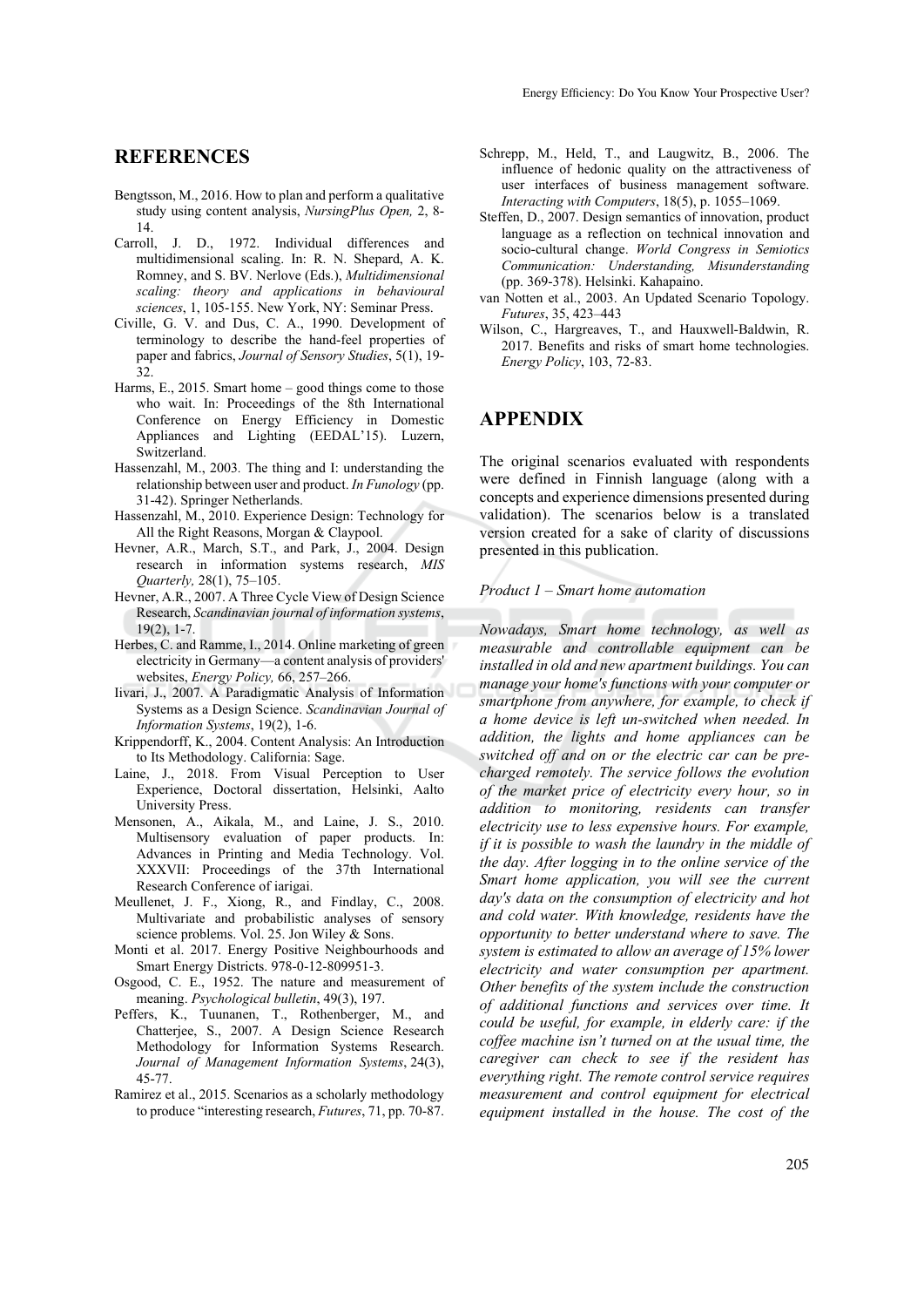## **REFERENCES**

- Bengtsson, M., 2016. How to plan and perform a qualitative study using content analysis, *NursingPlus Open,* 2, 8- 14.
- Carroll, J. D., 1972. Individual differences and multidimensional scaling. In: R. N. Shepard, A. K. Romney, and S. BV. Nerlove (Eds.), *Multidimensional scaling: theory and applications in behavioural sciences*, 1, 105-155. New York, NY: Seminar Press.
- Civille, G. V. and Dus, C. A., 1990. Development of terminology to describe the hand-feel properties of paper and fabrics, *Journal of Sensory Studies*, 5(1), 19- 32.
- Harms, E., 2015. Smart home good things come to those who wait. In: Proceedings of the 8th International Conference on Energy Efficiency in Domestic Appliances and Lighting (EEDAL'15). Luzern, Switzerland.
- Hassenzahl, M., 2003*.* The thing and I: understanding the relationship between user and product. *In Funology* (pp. 31-42). Springer Netherlands.
- Hassenzahl, M., 2010. Experience Design: Technology for All the Right Reasons, Morgan & Claypool.
- Hevner, A.R., March, S.T., and Park, J., 2004. Design research in information systems research, *MIS Quarterly,* 28(1), 75–105.
- Hevner, A.R., 2007. A Three Cycle View of Design Science Research, *Scandinavian journal of information systems*,  $19(2)$ , 1-7
- Herbes, C. and Ramme, I., 2014. Online marketing of green electricity in Germany—a content analysis of providers' websites, *Energy Policy,* 66, 257–266.
- Iivari, J., 2007. A Paradigmatic Analysis of Information Systems as a Design Science. *Scandinavian Journal of Information Systems*, 19(2), 1-6.
- Krippendorff, K., 2004. Content Analysis: An Introduction to Its Methodology. California: Sage.
- Laine, J., 2018. From Visual Perception to User Experience, Doctoral dissertation, Helsinki, Aalto University Press.
- Mensonen, A., Aikala, M., and Laine, J. S., 2010. Multisensory evaluation of paper products. In: Advances in Printing and Media Technology. Vol. XXXVII: Proceedings of the 37th International Research Conference of iarigai.
- Meullenet, J. F., Xiong, R., and Findlay, C., 2008. Multivariate and probabilistic analyses of sensory science problems. Vol. 25. Jon Wiley & Sons.
- Monti et al. 2017. Energy Positive Neighbourhoods and Smart Energy Districts. 978-0-12-809951-3.
- Osgood, C. E., 1952. The nature and measurement of meaning. *Psychological bulletin*, 49(3), 197.
- Peffers, K., Tuunanen, T., Rothenberger, M., and Chatterjee, S., 2007. A Design Science Research Methodology for Information Systems Research. *Journal of Management Information Systems*, 24(3), 45-77.
- Ramirez et al., 2015. Scenarios as a scholarly methodology to produce "interesting research, *Futures*, 71, pp. 70-87.
- Schrepp, M., Held, T., and Laugwitz, B., 2006. The influence of hedonic quality on the attractiveness of user interfaces of business management software. *Interacting with Computers*, 18(5), p. 1055–1069.
- Steffen, D., 2007. Design semantics of innovation, product language as a reflection on technical innovation and socio-cultural change. *World Congress in Semiotics Communication: Understanding, Misunderstanding* (pp. 369-378). Helsinki. Kahapaino.
- van Notten et al., 2003. An Updated Scenario Topology. *Futures*, 35, 423–443
- Wilson, C., Hargreaves, T., and Hauxwell-Baldwin, R. 2017. Benefits and risks of smart home technologies. *Energy Policy*, 103, 72-83.

## **APPENDIX**

The original scenarios evaluated with respondents were defined in Finnish language (along with a concepts and experience dimensions presented during validation). The scenarios below is a translated version created for a sake of clarity of discussions presented in this publication.

#### *Product 1 – Smart home automation*

*Nowadays, Smart home technology, as well as measurable and controllable equipment can be installed in old and new apartment buildings. You can manage your home's functions with your computer or smartphone from anywhere, for example, to check if a home device is left un-switched when needed. In addition, the lights and home appliances can be switched off and on or the electric car can be precharged remotely. The service follows the evolution of the market price of electricity every hour, so in addition to monitoring, residents can transfer electricity use to less expensive hours. For example, if it is possible to wash the laundry in the middle of the day. After logging in to the online service of the Smart home application, you will see the current day's data on the consumption of electricity and hot and cold water. With knowledge, residents have the opportunity to better understand where to save. The system is estimated to allow an average of 15% lower electricity and water consumption per apartment. Other benefits of the system include the construction of additional functions and services over time. It could be useful, for example, in elderly care: if the coffee machine isn't turned on at the usual time, the caregiver can check to see if the resident has everything right. The remote control service requires measurement and control equipment for electrical equipment installed in the house. The cost of the*